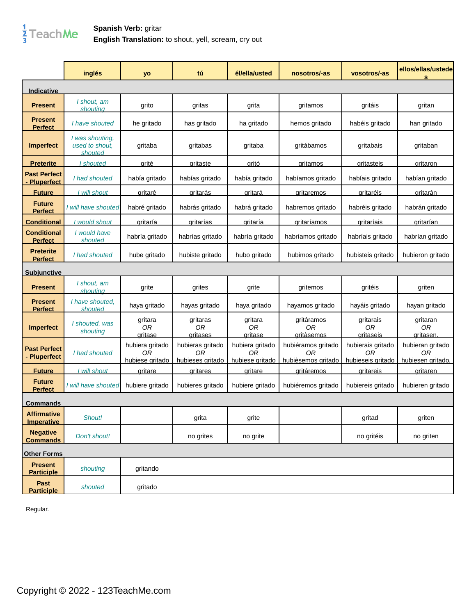## $\frac{1}{3}$ TeachMe

## **Spanish Verb:** gritar **English Translation:** to shout, yell, scream, cry out

|                                         | inglés                                       | yo                                       | tú                                         | él/ella/usted                            | nosotros/-as                                   | vosotros/-as                                             | ellos/ellas/ustede<br>s                        |
|-----------------------------------------|----------------------------------------------|------------------------------------------|--------------------------------------------|------------------------------------------|------------------------------------------------|----------------------------------------------------------|------------------------------------------------|
| <u>Indicative</u>                       |                                              |                                          |                                            |                                          |                                                |                                                          |                                                |
| <b>Present</b>                          | I shout, am<br>shouting                      | grito                                    | gritas                                     | grita                                    | gritamos                                       | gritáis                                                  | gritan                                         |
| <b>Present</b><br><b>Perfect</b>        | I have shouted                               | he gritado                               | has gritado                                | ha gritado                               | hemos gritado                                  | habéis gritado                                           | han gritado                                    |
| <b>Imperfect</b>                        | I was shouting,<br>used to shout.<br>shouted | gritaba                                  | gritabas                                   | gritaba                                  | gritábamos                                     | gritabais                                                | gritaban                                       |
| <b>Preterite</b>                        | I shouted                                    | <u>arité</u>                             | <u>aritaste</u>                            | <u>aritó</u>                             | <u>aritamos</u>                                | <b>aritasteis</b>                                        | aritaron                                       |
| <b>Past Perfect</b><br>Pluperfect       | I had shouted                                | había gritado                            | habías gritado                             | había gritado                            | habíamos gritado                               | habíais gritado                                          | habían gritado                                 |
| <b>Future</b>                           | I will shout                                 | <u>aritaré</u>                           | <u>aritarás</u>                            | <u>aritará</u>                           | <u>critaremos</u>                              | <u>aritaréis</u>                                         | <u>aritarán</u>                                |
| <b>Future</b><br><b>Perfect</b>         | I will have shouted                          | habré gritado                            | habrás gritado                             | habrá gritado                            | habremos gritado                               | habréis gritado                                          | habrán gritado                                 |
| <u>Conditional</u>                      | would shout                                  | <u>gritaría</u>                          | <u>gritarías</u>                           | <u>gritaría</u>                          | <u>qritaríamos</u>                             | <u>gritaríais</u>                                        | <u>gritarían</u>                               |
| <b>Conditional</b><br><b>Perfect</b>    | I would have<br>shouted                      | habría gritado                           | habrías gritado                            | habría gritado                           | habríamos gritado                              | habríais gritado                                         | habrían gritado                                |
| <b>Preterite</b><br><b>Perfect</b>      | I had shouted                                | hube gritado                             | hubiste gritado                            | hubo gritado                             | hubimos gritado                                | hubisteis gritado                                        | hubieron gritado                               |
| <u>Subiunctive</u>                      |                                              |                                          |                                            |                                          |                                                |                                                          |                                                |
| <b>Present</b>                          | I shout, am<br>shoutina                      | grite                                    | grites                                     | grite                                    | gritemos                                       | gritéis                                                  | griten                                         |
| <b>Present</b><br><b>Perfect</b>        | I have shouted,<br>shouted                   | haya gritado                             | hayas gritado                              | haya gritado                             | hayamos gritado                                | hayáis gritado                                           | hayan gritado                                  |
| <b>Imperfect</b>                        | I shouted, was<br>shouting                   | gritara<br>0 <sub>R</sub><br>aritase     | gritaras<br>0R<br><u>aritases</u>          | gritara<br>0 <sub>R</sub><br>aritase     | gritáramos<br>0R<br><b>aritàsemos</b>          | gritarais<br>0 <sub>R</sub><br>aritaseis                 | gritaran<br>0 <sub>R</sub><br><u>aritasen.</u> |
| <b>Past Perfect</b><br>- Pluperfect     | I had shouted                                | hubiera gritado<br>0R<br>hubiese gritado | hubieras gritado<br>ΟR<br>hubieses gritado | hubiera gritado<br>0R<br>hubiese gritado | hubiéramos gritado<br>ΟR<br>hubièsemos gritado | hubierais gritado<br>0 <sub>R</sub><br>hubieseis gritado | hubieran gritado<br>0R<br>hubiesen gritado.    |
| <b>Future</b>                           | <u>I will shout</u>                          | <u>aritare</u>                           | <u>aritares</u>                            | <u>aritare</u>                           | <u>aritáremos</u>                              | <u>aritareis</u>                                         | gritaren                                       |
| <b>Future</b><br><b>Perfect</b>         | I will have shouted                          | hubiere gritado                          | hubieres gritado                           | hubiere gritado                          | hubiéremos gritado                             | hubiereis gritado                                        | hubieren gritado                               |
| <u>Commands</u>                         |                                              |                                          |                                            |                                          |                                                |                                                          |                                                |
| <b>Affirmative</b><br><b>Imperative</b> | Shout!                                       |                                          | grita                                      | grite                                    |                                                | gritad                                                   | griten                                         |
| <b>Negative</b><br><b>Commands</b>      | Don't shout!                                 |                                          | no grites                                  | no grite                                 |                                                | no gritéis                                               | no griten                                      |
| <b>Other Forms</b>                      |                                              |                                          |                                            |                                          |                                                |                                                          |                                                |
| <b>Present</b><br><b>Participle</b>     | shouting                                     | gritando                                 |                                            |                                          |                                                |                                                          |                                                |
| Past<br><b>Participle</b>               | shouted                                      | gritado                                  |                                            |                                          |                                                |                                                          |                                                |

Regular.